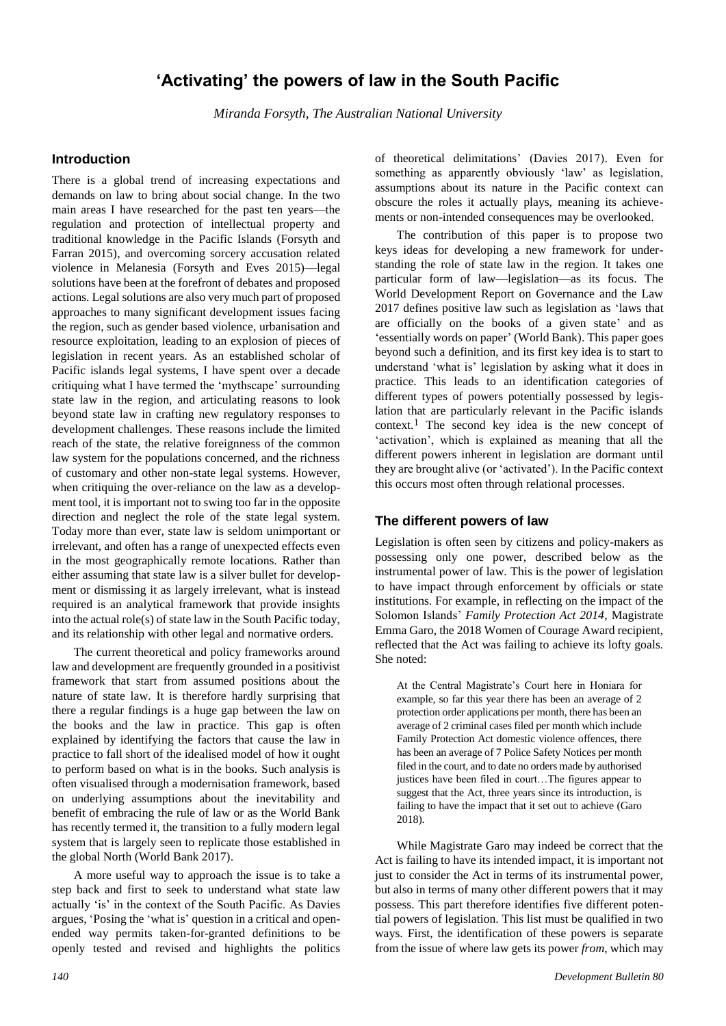# **'Activating' the powers of law in the South Pacific**

*Miranda Forsyth, The Australian National University*

### **Introduction**

There is a global trend of increasing expectations and demands on law to bring about social change. In the two main areas I have researched for the past ten years—the regulation and protection of intellectual property and traditional knowledge in the Pacific Islands (Forsyth and Farran 2015), and overcoming sorcery accusation related violence in Melanesia (Forsyth and Eves 2015)—legal solutions have been at the forefront of debates and proposed actions. Legal solutions are also very much part of proposed approaches to many significant development issues facing the region, such as gender based violence, urbanisation and resource exploitation, leading to an explosion of pieces of legislation in recent years. As an established scholar of Pacific islands legal systems, I have spent over a decade critiquing what I have termed the 'mythscape' surrounding state law in the region, and articulating reasons to look beyond state law in crafting new regulatory responses to development challenges. These reasons include the limited reach of the state, the relative foreignness of the common law system for the populations concerned, and the richness of customary and other non-state legal systems. However, when critiquing the over-reliance on the law as a development tool, it is important not to swing too far in the opposite direction and neglect the role of the state legal system. Today more than ever, state law is seldom unimportant or irrelevant, and often has a range of unexpected effects even in the most geographically remote locations. Rather than either assuming that state law is a silver bullet for development or dismissing it as largely irrelevant, what is instead required is an analytical framework that provide insights into the actual role(s) of state law in the South Pacific today, and its relationship with other legal and normative orders.

The current theoretical and policy frameworks around law and development are frequently grounded in a positivist framework that start from assumed positions about the nature of state law. It is therefore hardly surprising that there a regular findings is a huge gap between the law on the books and the law in practice. This gap is often explained by identifying the factors that cause the law in practice to fall short of the idealised model of how it ought to perform based on what is in the books. Such analysis is often visualised through a modernisation framework, based on underlying assumptions about the inevitability and benefit of embracing the rule of law or as the World Bank has recently termed it, the transition to a fully modern legal system that is largely seen to replicate those established in the global North (World Bank 2017).

A more useful way to approach the issue is to take a step back and first to seek to understand what state law actually 'is' in the context of the South Pacific. As Davies argues, 'Posing the 'what is' question in a critical and openended way permits taken-for-granted definitions to be openly tested and revised and highlights the politics

of theoretical delimitations' (Davies 2017). Even for something as apparently obviously 'law' as legislation, assumptions about its nature in the Pacific context can obscure the roles it actually plays, meaning its achievements or non-intended consequences may be overlooked.

The contribution of this paper is to propose two keys ideas for developing a new framework for understanding the role of state law in the region. It takes one particular form of law—legislation—as its focus. The World Development Report on Governance and the Law 2017 defines positive law such as legislation as 'laws that are officially on the books of a given state' and as 'essentially words on paper' (World Bank). This paper goes beyond such a definition, and its first key idea is to start to understand 'what is' legislation by asking what it does in practice. This leads to an identification categories of different types of powers potentially possessed by legislation that are particularly relevant in the Pacific islands context.1 The second key idea is the new concept of 'activation', which is explained as meaning that all the different powers inherent in legislation are dormant until they are brought alive (or 'activated'). In the Pacific context this occurs most often through relational processes.

### **The different powers of law**

Legislation is often seen by citizens and policy-makers as possessing only one power, described below as the instrumental power of law. This is the power of legislation to have impact through enforcement by officials or state institutions. For example, in reflecting on the impact of the Solomon Islands' *Family Protection Act 2014*, Magistrate Emma Garo, the 2018 Women of Courage Award recipient, reflected that the Act was failing to achieve its lofty goals. She noted:

At the Central Magistrate's Court here in Honiara for example, so far this year there has been an average of 2 protection order applications per month, there has been an average of 2 criminal cases filed per month which include Family Protection Act domestic violence offences, there has been an average of 7 Police Safety Notices per month filed in the court, and to date no orders made by authorised justices have been filed in court…The figures appear to suggest that the Act, three years since its introduction, is failing to have the impact that it set out to achieve (Garo 2018).

While Magistrate Garo may indeed be correct that the Act is failing to have its intended impact, it is important not just to consider the Act in terms of its instrumental power. but also in terms of many other different powers that it may possess. This part therefore identifies five different potential powers of legislation. This list must be qualified in two ways. First, the identification of these powers is separate from the issue of where law gets its power *from*, which may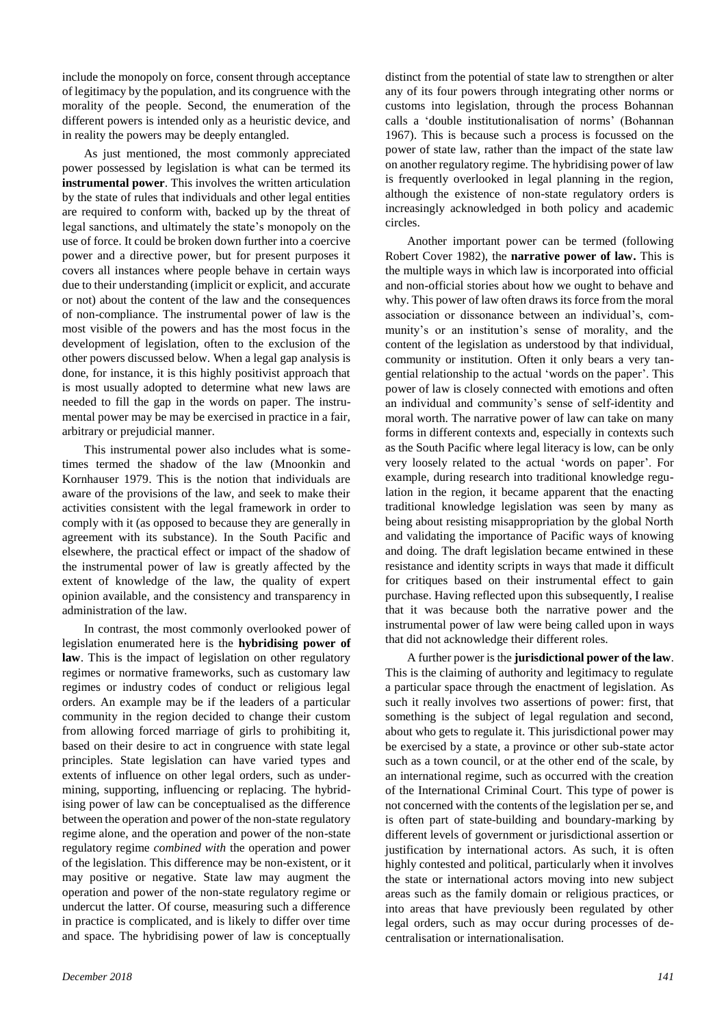include the monopoly on force, consent through acceptance of legitimacy by the population, and its congruence with the morality of the people. Second, the enumeration of the different powers is intended only as a heuristic device, and in reality the powers may be deeply entangled.

As just mentioned, the most commonly appreciated power possessed by legislation is what can be termed its **instrumental power**. This involves the written articulation by the state of rules that individuals and other legal entities are required to conform with, backed up by the threat of legal sanctions, and ultimately the state's monopoly on the use of force. It could be broken down further into a coercive power and a directive power, but for present purposes it covers all instances where people behave in certain ways due to their understanding (implicit or explicit, and accurate or not) about the content of the law and the consequences of non-compliance. The instrumental power of law is the most visible of the powers and has the most focus in the development of legislation, often to the exclusion of the other powers discussed below. When a legal gap analysis is done, for instance, it is this highly positivist approach that is most usually adopted to determine what new laws are needed to fill the gap in the words on paper. The instrumental power may be may be exercised in practice in a fair, arbitrary or prejudicial manner.

This instrumental power also includes what is sometimes termed the shadow of the law (Mnoonkin and Kornhauser 1979. This is the notion that individuals are aware of the provisions of the law, and seek to make their activities consistent with the legal framework in order to comply with it (as opposed to because they are generally in agreement with its substance). In the South Pacific and elsewhere, the practical effect or impact of the shadow of the instrumental power of law is greatly affected by the extent of knowledge of the law, the quality of expert opinion available, and the consistency and transparency in administration of the law.

In contrast, the most commonly overlooked power of legislation enumerated here is the **hybridising power of law**. This is the impact of legislation on other regulatory regimes or normative frameworks, such as customary law regimes or industry codes of conduct or religious legal orders. An example may be if the leaders of a particular community in the region decided to change their custom from allowing forced marriage of girls to prohibiting it, based on their desire to act in congruence with state legal principles. State legislation can have varied types and extents of influence on other legal orders, such as undermining, supporting, influencing or replacing. The hybridising power of law can be conceptualised as the difference between the operation and power of the non-state regulatory regime alone, and the operation and power of the non-state regulatory regime *combined with* the operation and power of the legislation. This difference may be non-existent, or it may positive or negative. State law may augment the operation and power of the non-state regulatory regime or undercut the latter. Of course, measuring such a difference in practice is complicated, and is likely to differ over time and space. The hybridising power of law is conceptually

distinct from the potential of state law to strengthen or alter any of its four powers through integrating other norms or customs into legislation, through the process Bohannan calls a 'double institutionalisation of norms' (Bohannan 1967). This is because such a process is focussed on the power of state law, rather than the impact of the state law on another regulatory regime. The hybridising power of law is frequently overlooked in legal planning in the region, although the existence of non-state regulatory orders is increasingly acknowledged in both policy and academic circles.

Another important power can be termed (following Robert Cover 1982), the **narrative power of law.** This is the multiple ways in which law is incorporated into official and non-official stories about how we ought to behave and why. This power of law often draws its force from the moral association or dissonance between an individual's, community's or an institution's sense of morality, and the content of the legislation as understood by that individual, community or institution. Often it only bears a very tangential relationship to the actual 'words on the paper'. This power of law is closely connected with emotions and often an individual and community's sense of self-identity and moral worth. The narrative power of law can take on many forms in different contexts and, especially in contexts such as the South Pacific where legal literacy is low, can be only very loosely related to the actual 'words on paper'. For example, during research into traditional knowledge regulation in the region, it became apparent that the enacting traditional knowledge legislation was seen by many as being about resisting misappropriation by the global North and validating the importance of Pacific ways of knowing and doing. The draft legislation became entwined in these resistance and identity scripts in ways that made it difficult for critiques based on their instrumental effect to gain purchase. Having reflected upon this subsequently, I realise that it was because both the narrative power and the instrumental power of law were being called upon in ways that did not acknowledge their different roles.

A further power is the **jurisdictional power of the law**. This is the claiming of authority and legitimacy to regulate a particular space through the enactment of legislation. As such it really involves two assertions of power: first, that something is the subject of legal regulation and second, about who gets to regulate it. This jurisdictional power may be exercised by a state, a province or other sub-state actor such as a town council, or at the other end of the scale, by an international regime, such as occurred with the creation of the International Criminal Court. This type of power is not concerned with the contents of the legislation per se, and is often part of state-building and boundary-marking by different levels of government or jurisdictional assertion or justification by international actors. As such, it is often highly contested and political, particularly when it involves the state or international actors moving into new subject areas such as the family domain or religious practices, or into areas that have previously been regulated by other legal orders, such as may occur during processes of decentralisation or internationalisation.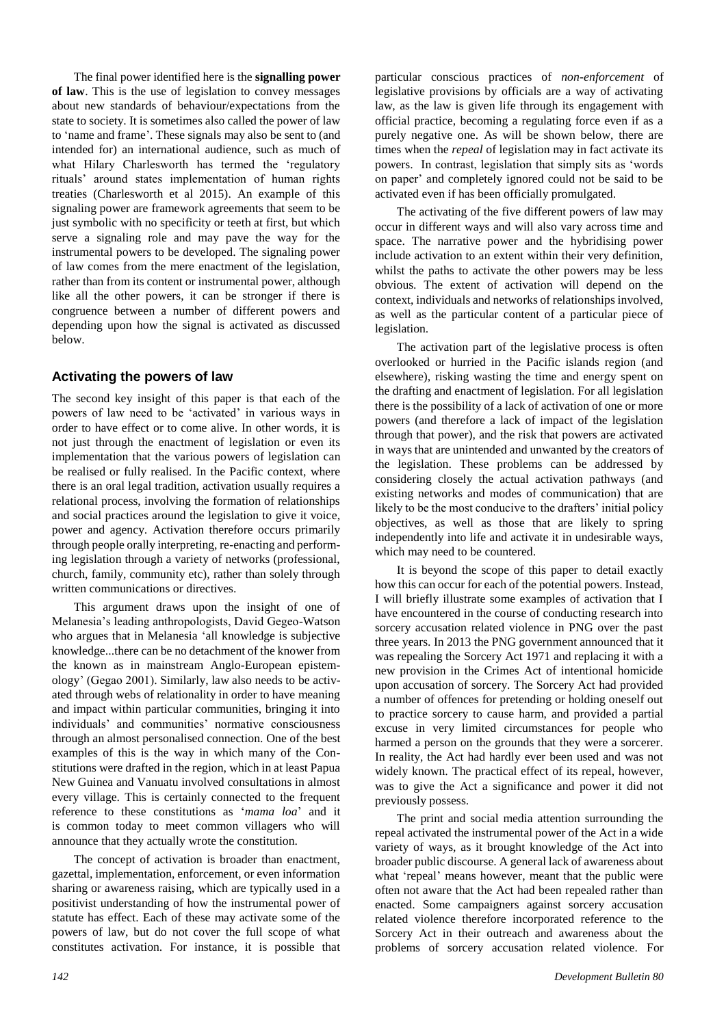The final power identified here is the **signalling power of law**. This is the use of legislation to convey messages about new standards of behaviour/expectations from the state to society. It is sometimes also called the power of law to 'name and frame'. These signals may also be sent to (and intended for) an international audience, such as much of what Hilary Charlesworth has termed the 'regulatory rituals' around states implementation of human rights treaties (Charlesworth et al 2015). An example of this signaling power are framework agreements that seem to be just symbolic with no specificity or teeth at first, but which serve a signaling role and may pave the way for the instrumental powers to be developed. The signaling power of law comes from the mere enactment of the legislation, rather than from its content or instrumental power, although like all the other powers, it can be stronger if there is congruence between a number of different powers and depending upon how the signal is activated as discussed below.

# **Activating the powers of law**

The second key insight of this paper is that each of the powers of law need to be 'activated' in various ways in order to have effect or to come alive. In other words, it is not just through the enactment of legislation or even its implementation that the various powers of legislation can be realised or fully realised. In the Pacific context, where there is an oral legal tradition, activation usually requires a relational process, involving the formation of relationships and social practices around the legislation to give it voice, power and agency. Activation therefore occurs primarily through people orally interpreting, re-enacting and performing legislation through a variety of networks (professional, church, family, community etc), rather than solely through written communications or directives.

This argument draws upon the insight of one of Melanesia's leading anthropologists, David Gegeo-Watson who argues that in Melanesia 'all knowledge is subjective knowledge...there can be no detachment of the knower from the known as in mainstream Anglo-European epistemology' (Gegao 2001). Similarly, law also needs to be activated through webs of relationality in order to have meaning and impact within particular communities, bringing it into individuals' and communities' normative consciousness through an almost personalised connection. One of the best examples of this is the way in which many of the Constitutions were drafted in the region, which in at least Papua New Guinea and Vanuatu involved consultations in almost every village. This is certainly connected to the frequent reference to these constitutions as '*mama loa*' and it is common today to meet common villagers who will announce that they actually wrote the constitution.

The concept of activation is broader than enactment, gazettal, implementation, enforcement, or even information sharing or awareness raising, which are typically used in a positivist understanding of how the instrumental power of statute has effect. Each of these may activate some of the powers of law, but do not cover the full scope of what constitutes activation. For instance, it is possible that

particular conscious practices of *non-enforcement* of legislative provisions by officials are a way of activating law, as the law is given life through its engagement with official practice, becoming a regulating force even if as a purely negative one. As will be shown below, there are times when the *repeal* of legislation may in fact activate its powers. In contrast, legislation that simply sits as 'words on paper' and completely ignored could not be said to be activated even if has been officially promulgated.

The activating of the five different powers of law may occur in different ways and will also vary across time and space. The narrative power and the hybridising power include activation to an extent within their very definition, whilst the paths to activate the other powers may be less obvious. The extent of activation will depend on the context, individuals and networks of relationships involved, as well as the particular content of a particular piece of legislation.

The activation part of the legislative process is often overlooked or hurried in the Pacific islands region (and elsewhere), risking wasting the time and energy spent on the drafting and enactment of legislation. For all legislation there is the possibility of a lack of activation of one or more powers (and therefore a lack of impact of the legislation through that power), and the risk that powers are activated in ways that are unintended and unwanted by the creators of the legislation. These problems can be addressed by considering closely the actual activation pathways (and existing networks and modes of communication) that are likely to be the most conducive to the drafters' initial policy objectives, as well as those that are likely to spring independently into life and activate it in undesirable ways, which may need to be countered.

It is beyond the scope of this paper to detail exactly how this can occur for each of the potential powers. Instead, I will briefly illustrate some examples of activation that I have encountered in the course of conducting research into sorcery accusation related violence in PNG over the past three years. In 2013 the PNG government announced that it was repealing the Sorcery Act 1971 and replacing it with a new provision in the Crimes Act of intentional homicide upon accusation of sorcery. The Sorcery Act had provided a number of offences for pretending or holding oneself out to practice sorcery to cause harm, and provided a partial excuse in very limited circumstances for people who harmed a person on the grounds that they were a sorcerer. In reality, the Act had hardly ever been used and was not widely known. The practical effect of its repeal, however, was to give the Act a significance and power it did not previously possess.

The print and social media attention surrounding the repeal activated the instrumental power of the Act in a wide variety of ways, as it brought knowledge of the Act into broader public discourse. A general lack of awareness about what 'repeal' means however, meant that the public were often not aware that the Act had been repealed rather than enacted. Some campaigners against sorcery accusation related violence therefore incorporated reference to the Sorcery Act in their outreach and awareness about the problems of sorcery accusation related violence. For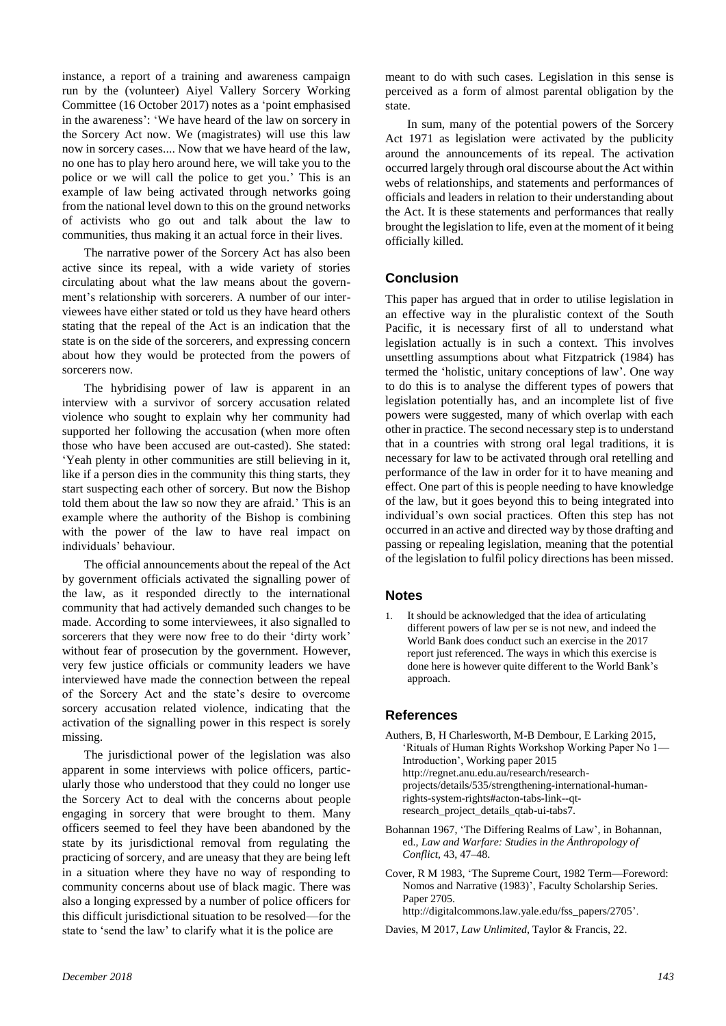instance, a report of a training and awareness campaign run by the (volunteer) Aiyel Vallery Sorcery Working Committee (16 October 2017) notes as a 'point emphasised in the awareness': 'We have heard of the law on sorcery in the Sorcery Act now. We (magistrates) will use this law now in sorcery cases.... Now that we have heard of the law, no one has to play hero around here, we will take you to the police or we will call the police to get you.' This is an example of law being activated through networks going from the national level down to this on the ground networks of activists who go out and talk about the law to communities, thus making it an actual force in their lives.

The narrative power of the Sorcery Act has also been active since its repeal, with a wide variety of stories circulating about what the law means about the government's relationship with sorcerers. A number of our interviewees have either stated or told us they have heard others stating that the repeal of the Act is an indication that the state is on the side of the sorcerers, and expressing concern about how they would be protected from the powers of sorcerers now.

The hybridising power of law is apparent in an interview with a survivor of sorcery accusation related violence who sought to explain why her community had supported her following the accusation (when more often those who have been accused are out-casted). She stated: 'Yeah plenty in other communities are still believing in it, like if a person dies in the community this thing starts, they start suspecting each other of sorcery. But now the Bishop told them about the law so now they are afraid.' This is an example where the authority of the Bishop is combining with the power of the law to have real impact on individuals' behaviour.

The official announcements about the repeal of the Act by government officials activated the signalling power of the law, as it responded directly to the international community that had actively demanded such changes to be made. According to some interviewees, it also signalled to sorcerers that they were now free to do their 'dirty work' without fear of prosecution by the government. However, very few justice officials or community leaders we have interviewed have made the connection between the repeal of the Sorcery Act and the state's desire to overcome sorcery accusation related violence, indicating that the activation of the signalling power in this respect is sorely missing.

The jurisdictional power of the legislation was also apparent in some interviews with police officers, particularly those who understood that they could no longer use the Sorcery Act to deal with the concerns about people engaging in sorcery that were brought to them. Many officers seemed to feel they have been abandoned by the state by its jurisdictional removal from regulating the practicing of sorcery, and are uneasy that they are being left in a situation where they have no way of responding to community concerns about use of black magic. There was also a longing expressed by a number of police officers for this difficult jurisdictional situation to be resolved—for the state to 'send the law' to clarify what it is the police are

meant to do with such cases. Legislation in this sense is perceived as a form of almost parental obligation by the state.

In sum, many of the potential powers of the Sorcery Act 1971 as legislation were activated by the publicity around the announcements of its repeal. The activation occurred largely through oral discourse about the Act within webs of relationships, and statements and performances of officials and leaders in relation to their understanding about the Act. It is these statements and performances that really brought the legislation to life, even at the moment of it being officially killed.

# **Conclusion**

This paper has argued that in order to utilise legislation in an effective way in the pluralistic context of the South Pacific, it is necessary first of all to understand what legislation actually is in such a context. This involves unsettling assumptions about what Fitzpatrick (1984) has termed the 'holistic, unitary conceptions of law'. One way to do this is to analyse the different types of powers that legislation potentially has, and an incomplete list of five powers were suggested, many of which overlap with each other in practice. The second necessary step is to understand that in a countries with strong oral legal traditions, it is necessary for law to be activated through oral retelling and performance of the law in order for it to have meaning and effect. One part of this is people needing to have knowledge of the law, but it goes beyond this to being integrated into individual's own social practices. Often this step has not occurred in an active and directed way by those drafting and passing or repealing legislation, meaning that the potential of the legislation to fulfil policy directions has been missed.

# **Notes**

It should be acknowledged that the idea of articulating different powers of law per se is not new, and indeed the World Bank does conduct such an exercise in the 2017 report just referenced. The ways in which this exercise is done here is however quite different to the World Bank's approach.

# **References**

- Authers, B, H Charlesworth, M-B Dembour, E Larking 2015, 'Rituals of Human Rights Workshop Working Paper No 1— Introduction', Working paper 2015 http://regnet.anu.edu.au/research/researchprojects/details/535/strengthening-international-humanrights-system-rights#acton-tabs-link--qtresearch\_project\_details\_qtab-ui-tabs7.
- Bohannan 1967, 'The Differing Realms of Law', in Bohannan, ed., *Law and Warfare: Studies in the Ánthropology of Conflict*, 43, 47–48.
- Cover, R M 1983, 'The Supreme Court, 1982 Term—Foreword: Nomos and Narrative (1983)', Faculty Scholarship Series. Paper 2705 http://digitalcommons.law.yale.edu/fss\_papers/2705'.
- Davies, M 2017, *Law Unlimited*, Taylor & Francis, 22.